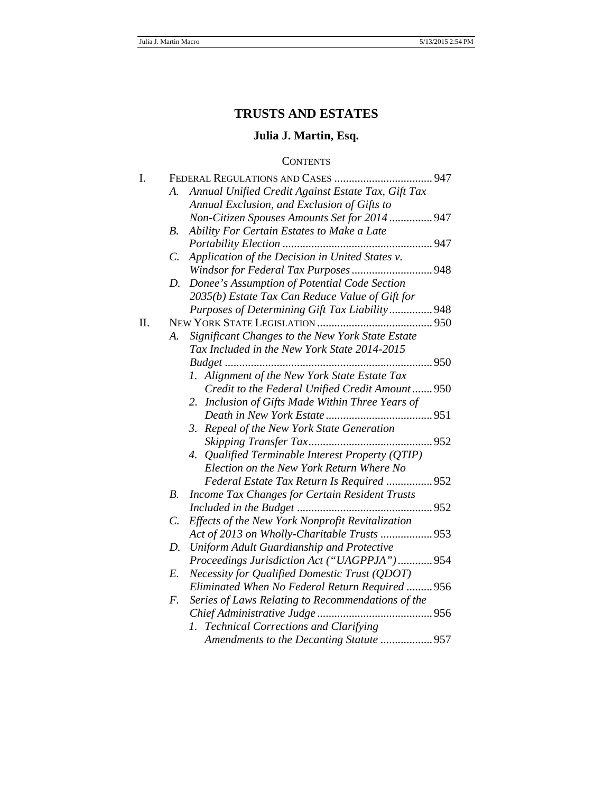# **TRUSTS AND ESTATES**

# **Julia J. Martin, Esq.**

# **CONTENTS**

| I. |                                                                     |  |
|----|---------------------------------------------------------------------|--|
|    | Annual Unified Credit Against Estate Tax, Gift Tax<br>A.            |  |
|    | Annual Exclusion, and Exclusion of Gifts to                         |  |
|    | Non-Citizen Spouses Amounts Set for 2014  947                       |  |
|    | Ability For Certain Estates to Make a Late<br><i>B</i> .            |  |
|    |                                                                     |  |
|    | Application of the Decision in United States v.<br>$\mathcal{C}$ .  |  |
|    |                                                                     |  |
|    | Donee's Assumption of Potential Code Section<br>D.                  |  |
|    | 2035(b) Estate Tax Can Reduce Value of Gift for                     |  |
|    | Purposes of Determining Gift Tax Liability 948                      |  |
| Π. |                                                                     |  |
|    | Significant Changes to the New York State Estate<br>A.              |  |
|    | Tax Included in the New York State 2014-2015                        |  |
|    |                                                                     |  |
|    | 1. Alignment of the New York State Estate Tax                       |  |
|    | Credit to the Federal Unified Credit Amount 950                     |  |
|    | 2. Inclusion of Gifts Made Within Three Years of                    |  |
|    |                                                                     |  |
|    | 3. Repeal of the New York State Generation                          |  |
|    |                                                                     |  |
|    | Qualified Terminable Interest Property (QTIP)<br>4.                 |  |
|    | Election on the New York Return Where No                            |  |
|    | Federal Estate Tax Return Is Required  952                          |  |
|    | <b>Income Tax Changes for Certain Resident Trusts</b><br><i>B</i> . |  |
|    |                                                                     |  |
|    | Effects of the New York Nonprofit Revitalization<br>C.              |  |
|    |                                                                     |  |
|    | Uniform Adult Guardianship and Protective<br>D.                     |  |
|    | Proceedings Jurisdiction Act ("UAGPPJA") 954                        |  |
|    | <b>Necessity for Qualified Domestic Trust (QDOT)</b><br>E.          |  |
|    | Eliminated When No Federal Return Required  956                     |  |
|    | $F_{\cdot}$<br>Series of Laws Relating to Recommendations of the    |  |
|    |                                                                     |  |
|    | 1. Technical Corrections and Clarifying                             |  |
|    | Amendments to the Decanting Statute 957                             |  |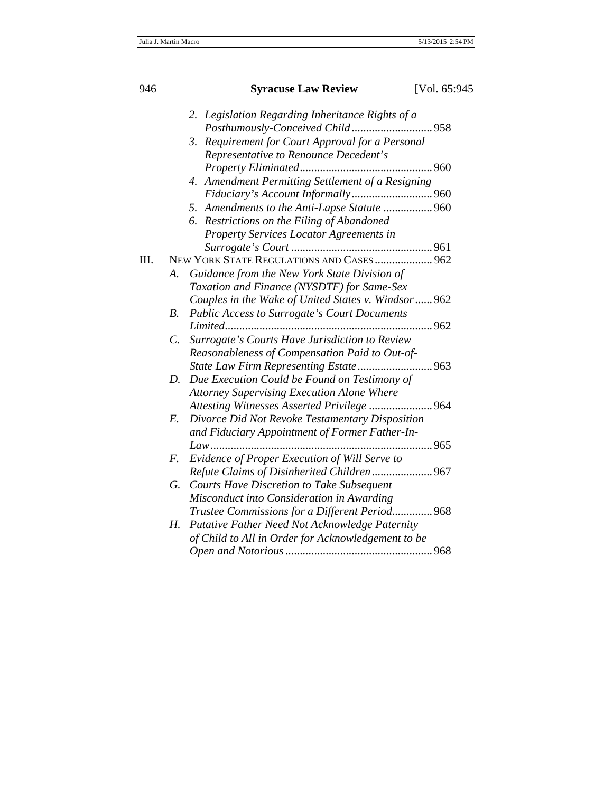| 946 |                                                     | <b>Syracuse Law Review</b>                          | [Vol. 65:945] |  |  |
|-----|-----------------------------------------------------|-----------------------------------------------------|---------------|--|--|
|     | Legislation Regarding Inheritance Rights of a<br>2. |                                                     |               |  |  |
|     |                                                     |                                                     |               |  |  |
|     |                                                     | Requirement for Court Approval for a Personal<br>3. |               |  |  |
|     |                                                     | Representative to Renounce Decedent's               |               |  |  |
|     |                                                     |                                                     |               |  |  |
|     |                                                     | 4. Amendment Permitting Settlement of a Resigning   |               |  |  |
|     |                                                     |                                                     |               |  |  |
|     |                                                     | 5. Amendments to the Anti-Lapse Statute  960        |               |  |  |
|     |                                                     | Restrictions on the Filing of Abandoned<br>6.       |               |  |  |
|     |                                                     | Property Services Locator Agreements in             |               |  |  |
|     |                                                     |                                                     |               |  |  |
| Ш.  |                                                     | NEW YORK STATE REGULATIONS AND CASES  962           |               |  |  |
|     | А.                                                  | Guidance from the New York State Division of        |               |  |  |
|     |                                                     | Taxation and Finance (NYSDTF) for Same-Sex          |               |  |  |
|     |                                                     | Couples in the Wake of United States v. Windsor 962 |               |  |  |
|     | $B$ .                                               | <b>Public Access to Surrogate's Court Documents</b> |               |  |  |
|     |                                                     |                                                     |               |  |  |
|     | $\mathcal{C}$ .                                     | Surrogate's Courts Have Jurisdiction to Review      |               |  |  |
|     |                                                     | Reasonableness of Compensation Paid to Out-of-      |               |  |  |
|     |                                                     |                                                     |               |  |  |
|     | D.                                                  | Due Execution Could be Found on Testimony of        |               |  |  |
|     |                                                     | <b>Attorney Supervising Execution Alone Where</b>   |               |  |  |
|     |                                                     | Attesting Witnesses Asserted Privilege  964         |               |  |  |
|     | E.                                                  | Divorce Did Not Revoke Testamentary Disposition     |               |  |  |
|     |                                                     | and Fiduciary Appointment of Former Father-In-      |               |  |  |
|     |                                                     | $Law$                                               |               |  |  |
|     | F.                                                  | Evidence of Proper Execution of Will Serve to       |               |  |  |
|     |                                                     | Refute Claims of Disinherited Children  967         |               |  |  |
|     | G.                                                  | Courts Have Discretion to Take Subsequent           |               |  |  |
|     |                                                     | Misconduct into Consideration in Awarding           |               |  |  |
|     |                                                     | Trustee Commissions for a Different Period 968      |               |  |  |
|     | Н.                                                  | Putative Father Need Not Acknowledge Paternity      |               |  |  |
|     |                                                     | of Child to All in Order for Acknowledgement to be  |               |  |  |
|     |                                                     |                                                     |               |  |  |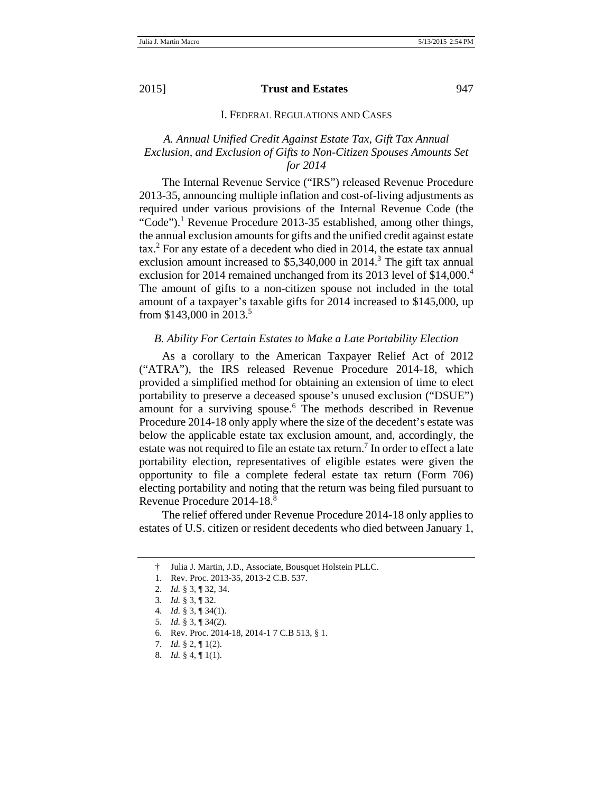#### I. FEDERAL REGULATIONS AND CASES

# *A. Annual Unified Credit Against Estate Tax, Gift Tax Annual Exclusion, and Exclusion of Gifts to Non-Citizen Spouses Amounts Set for 2014*

The Internal Revenue Service ("IRS") released Revenue Procedure 2013-35, announcing multiple inflation and cost-of-living adjustments as required under various provisions of the Internal Revenue Code (the "Code").<sup>1</sup> Revenue Procedure 2013-35 established, among other things, the annual exclusion amounts for gifts and the unified credit against estate tax.2 For any estate of a decedent who died in 2014, the estate tax annual exclusion amount increased to  $$5,340,000$  in 2014.<sup>3</sup> The gift tax annual exclusion for 2014 remained unchanged from its 2013 level of \$14,000.<sup>4</sup> The amount of gifts to a non-citizen spouse not included in the total amount of a taxpayer's taxable gifts for 2014 increased to \$145,000, up from \$143,000 in 2013.<sup>5</sup>

#### *B. Ability For Certain Estates to Make a Late Portability Election*

As a corollary to the American Taxpayer Relief Act of 2012 ("ATRA"), the IRS released Revenue Procedure 2014-18, which provided a simplified method for obtaining an extension of time to elect portability to preserve a deceased spouse's unused exclusion ("DSUE") amount for a surviving spouse.<sup>6</sup> The methods described in Revenue Procedure 2014-18 only apply where the size of the decedent's estate was below the applicable estate tax exclusion amount, and, accordingly, the estate was not required to file an estate tax return.<sup>7</sup> In order to effect a late portability election, representatives of eligible estates were given the opportunity to file a complete federal estate tax return (Form 706) electing portability and noting that the return was being filed pursuant to Revenue Procedure 2014-18.<sup>8</sup>

The relief offered under Revenue Procedure 2014-18 only applies to estates of U.S. citizen or resident decedents who died between January 1,

 <sup>†</sup> Julia J. Martin, J.D., Associate, Bousquet Holstein PLLC.

 <sup>1.</sup> Rev. Proc. 2013-35, 2013-2 C.B. 537.

<sup>2.</sup> *Id.* § 3, ¶ 32, 34.

<sup>3.</sup> *Id.* § 3, ¶ 32.

<sup>4.</sup> *Id.* § 3, ¶ 34(1).

<sup>5.</sup> *Id.* § 3, ¶ 34(2).

<sup>6.</sup> Rev. Proc. 2014-18, 2014-1 7 C.B 513, § 1.

<sup>7.</sup> *Id.* § 2, ¶ 1(2).

<sup>8.</sup> *Id.* § 4, ¶ 1(1).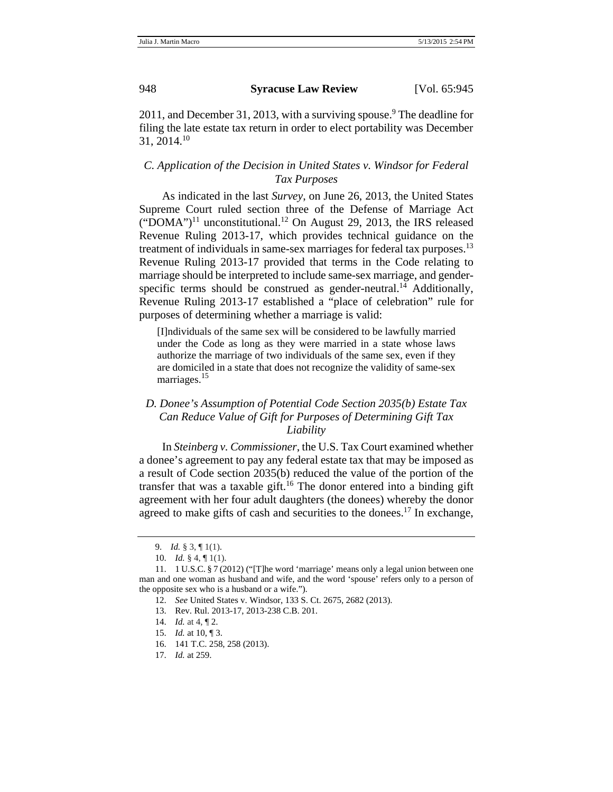2011, and December 31, 2013, with a surviving spouse.<sup>9</sup> The deadline for filing the late estate tax return in order to elect portability was December  $31, 2014$ <sup>10</sup>

# *C. Application of the Decision in United States v. Windsor for Federal Tax Purposes*

As indicated in the last *Survey*, on June 26, 2013, the United States Supreme Court ruled section three of the Defense of Marriage Act  $("DOMA")<sup>11</sup>$  unconstitutional.<sup>12</sup> On August 29, 2013, the IRS released Revenue Ruling 2013-17, which provides technical guidance on the treatment of individuals in same-sex marriages for federal tax purposes.<sup>13</sup> Revenue Ruling 2013-17 provided that terms in the Code relating to marriage should be interpreted to include same-sex marriage, and genderspecific terms should be construed as gender-neutral.<sup>14</sup> Additionally, Revenue Ruling 2013-17 established a "place of celebration" rule for purposes of determining whether a marriage is valid:

[I]ndividuals of the same sex will be considered to be lawfully married under the Code as long as they were married in a state whose laws authorize the marriage of two individuals of the same sex, even if they are domiciled in a state that does not recognize the validity of same-sex marriages.<sup>15</sup>

# *D. Donee's Assumption of Potential Code Section 2035(b) Estate Tax Can Reduce Value of Gift for Purposes of Determining Gift Tax Liability*

In *Steinberg v. Commissioner*, the U.S. Tax Court examined whether a donee's agreement to pay any federal estate tax that may be imposed as a result of Code section 2035(b) reduced the value of the portion of the transfer that was a taxable gift.<sup>16</sup> The donor entered into a binding gift agreement with her four adult daughters (the donees) whereby the donor agreed to make gifts of cash and securities to the donees.<sup>17</sup> In exchange,

<sup>9.</sup> *Id.* § 3, ¶ 1(1).

<sup>10.</sup> *Id.* § 4, ¶ 1(1).

<sup>11. 1</sup> U.S.C. § 7 (2012) ("[T]he word 'marriage' means only a legal union between one man and one woman as husband and wife, and the word 'spouse' refers only to a person of the opposite sex who is a husband or a wife.").

<sup>12.</sup> *See* United States v. Windsor, 133 S. Ct. 2675, 2682 (2013).

<sup>13.</sup> Rev. Rul. 2013-17, 2013-238 C.B. 201.

<sup>14.</sup> *Id.* at 4, ¶ 2.

<sup>15.</sup> *Id.* at 10, ¶ 3.

<sup>16. 141</sup> T.C. 258, 258 (2013).

<sup>17.</sup> *Id.* at 259.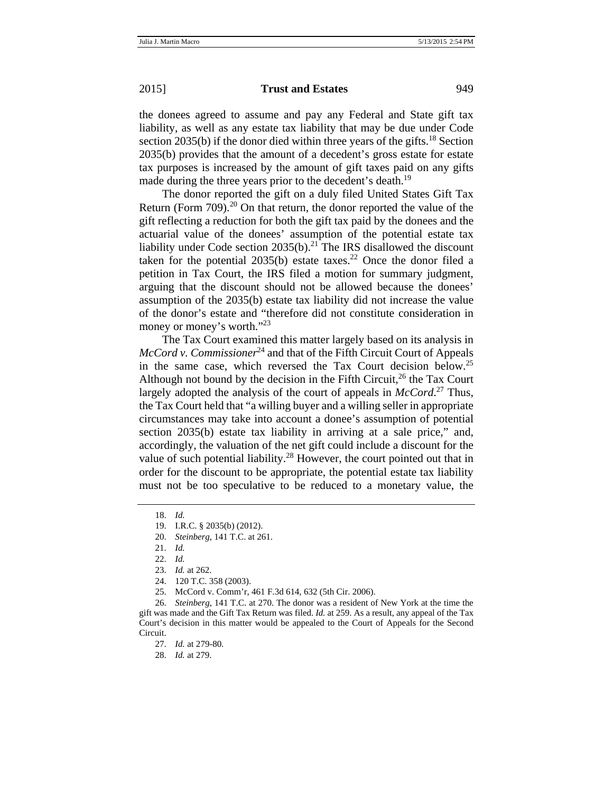the donees agreed to assume and pay any Federal and State gift tax liability, as well as any estate tax liability that may be due under Code section 2035(b) if the donor died within three years of the gifts.<sup>18</sup> Section 2035(b) provides that the amount of a decedent's gross estate for estate tax purposes is increased by the amount of gift taxes paid on any gifts made during the three years prior to the decedent's death.<sup>19</sup>

The donor reported the gift on a duly filed United States Gift Tax Return (Form  $709$ ).<sup>20</sup> On that return, the donor reported the value of the gift reflecting a reduction for both the gift tax paid by the donees and the actuarial value of the donees' assumption of the potential estate tax liability under Code section  $2035(b)$ .<sup>21</sup> The IRS disallowed the discount taken for the potential  $2035(b)$  estate taxes.<sup>22</sup> Once the donor filed a petition in Tax Court, the IRS filed a motion for summary judgment, arguing that the discount should not be allowed because the donees' assumption of the 2035(b) estate tax liability did not increase the value of the donor's estate and "therefore did not constitute consideration in money or money's worth."<sup>23</sup>

The Tax Court examined this matter largely based on its analysis in *McCord v. Commissioner*<sup>24</sup> and that of the Fifth Circuit Court of Appeals in the same case, which reversed the Tax Court decision below.<sup>25</sup> Although not bound by the decision in the Fifth Circuit,  $^{26}$  the Tax Court largely adopted the analysis of the court of appeals in *McCord*. 27 Thus, the Tax Court held that "a willing buyer and a willing seller in appropriate circumstances may take into account a donee's assumption of potential section 2035(b) estate tax liability in arriving at a sale price," and, accordingly, the valuation of the net gift could include a discount for the value of such potential liability.<sup>28</sup> However, the court pointed out that in order for the discount to be appropriate, the potential estate tax liability must not be too speculative to be reduced to a monetary value, the

<sup>18.</sup> *Id.* 

<sup>19.</sup> I.R.C. § 2035(b) (2012).

<sup>20.</sup> *Steinberg*, 141 T.C. at 261.

<sup>21.</sup> *Id.* 

<sup>22.</sup> *Id.*

<sup>23.</sup> *Id.* at 262.

<sup>24. 120</sup> T.C. 358 (2003).

<sup>25.</sup> McCord v. Comm'r, 461 F.3d 614, 632 (5th Cir. 2006).

<sup>26.</sup> *Steinberg*, 141 T.C. at 270. The donor was a resident of New York at the time the gift was made and the Gift Tax Return was filed. *Id.* at 259. As a result, any appeal of the Tax Court's decision in this matter would be appealed to the Court of Appeals for the Second Circuit.

<sup>27.</sup> *Id.* at 279-80.

<sup>28.</sup> *Id.* at 279.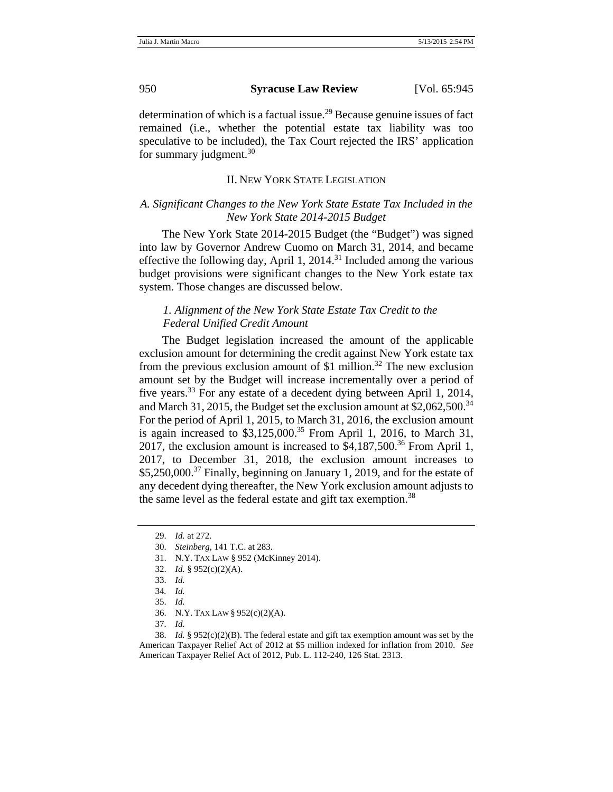determination of which is a factual issue.<sup>29</sup> Because genuine issues of fact remained (i.e., whether the potential estate tax liability was too speculative to be included), the Tax Court rejected the IRS' application for summary judgment. $30$ 

#### II. NEW YORK STATE LEGISLATION

# *A. Significant Changes to the New York State Estate Tax Included in the New York State 2014-2015 Budget*

The New York State 2014-2015 Budget (the "Budget") was signed into law by Governor Andrew Cuomo on March 31, 2014, and became effective the following day, April 1, 2014.<sup>31</sup> Included among the various budget provisions were significant changes to the New York estate tax system. Those changes are discussed below.

## *1. Alignment of the New York State Estate Tax Credit to the Federal Unified Credit Amount*

The Budget legislation increased the amount of the applicable exclusion amount for determining the credit against New York estate tax from the previous exclusion amount of \$1 million.<sup>32</sup> The new exclusion amount set by the Budget will increase incrementally over a period of five years.33 For any estate of a decedent dying between April 1, 2014, and March 31, 2015, the Budget set the exclusion amount at  $$2,062,500$ <sup>34</sup> For the period of April 1, 2015, to March 31, 2016, the exclusion amount is again increased to  $$3,125,000$ .<sup>35</sup> From April 1, 2016, to March 31, 2017, the exclusion amount is increased to  $\frac{1}{2}4,187,500$ .<sup>36</sup> From April 1, 2017, to December 31, 2018, the exclusion amount increases to  $$5,250,000.<sup>37</sup>$  Finally, beginning on January 1, 2019, and for the estate of any decedent dying thereafter, the New York exclusion amount adjusts to the same level as the federal estate and gift tax exemption.<sup>38</sup>

32. *Id.* § 952(c)(2)(A).

<sup>29.</sup> *Id.* at 272.

<sup>30.</sup> *Steinberg*, 141 T.C. at 283.

<sup>31.</sup> N.Y. TAX LAW § 952 (McKinney 2014).

<sup>33.</sup> *Id.*

<sup>34</sup>*. Id.*

<sup>35.</sup> *Id.*

<sup>36.</sup> N.Y. TAX LAW § 952(c)(2)(A).

<sup>37.</sup> *Id.* 

<sup>38.</sup> *Id.* § 952(c)(2)(B). The federal estate and gift tax exemption amount was set by the American Taxpayer Relief Act of 2012 at \$5 million indexed for inflation from 2010. *See* American Taxpayer Relief Act of 2012, Pub. L. 112-240, 126 Stat. 2313.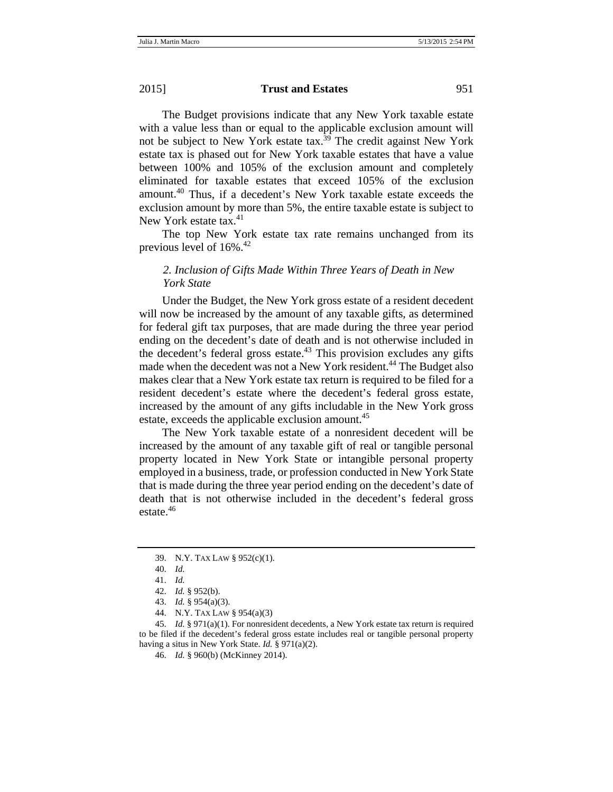The Budget provisions indicate that any New York taxable estate with a value less than or equal to the applicable exclusion amount will not be subject to New York estate tax.<sup>39</sup> The credit against New York estate tax is phased out for New York taxable estates that have a value between 100% and 105% of the exclusion amount and completely eliminated for taxable estates that exceed 105% of the exclusion amount.40 Thus, if a decedent's New York taxable estate exceeds the exclusion amount by more than 5%, the entire taxable estate is subject to New York estate tax.<sup>41</sup>

The top New York estate tax rate remains unchanged from its previous level of 16%.42

# *2. Inclusion of Gifts Made Within Three Years of Death in New York State*

Under the Budget, the New York gross estate of a resident decedent will now be increased by the amount of any taxable gifts, as determined for federal gift tax purposes, that are made during the three year period ending on the decedent's date of death and is not otherwise included in the decedent's federal gross estate.<sup>43</sup> This provision excludes any gifts made when the decedent was not a New York resident.<sup>44</sup> The Budget also makes clear that a New York estate tax return is required to be filed for a resident decedent's estate where the decedent's federal gross estate, increased by the amount of any gifts includable in the New York gross estate, exceeds the applicable exclusion amount.<sup>45</sup>

The New York taxable estate of a nonresident decedent will be increased by the amount of any taxable gift of real or tangible personal property located in New York State or intangible personal property employed in a business, trade, or profession conducted in New York State that is made during the three year period ending on the decedent's date of death that is not otherwise included in the decedent's federal gross estate.<sup>46</sup>

<sup>39.</sup> N.Y. TAX LAW § 952(c)(1).

<sup>40.</sup> *Id.*

<sup>41.</sup> *Id.*

<sup>42.</sup> *Id.* § 952(b).

<sup>43.</sup> *Id.* § 954(a)(3).

<sup>44.</sup> N.Y. TAX LAW § 954(a)(3)

<sup>45.</sup> *Id.* § 971(a)(1). For nonresident decedents, a New York estate tax return is required to be filed if the decedent's federal gross estate includes real or tangible personal property having a situs in New York State. *Id.* § 971(a)(2).

<sup>46.</sup> *Id.* § 960(b) (McKinney 2014).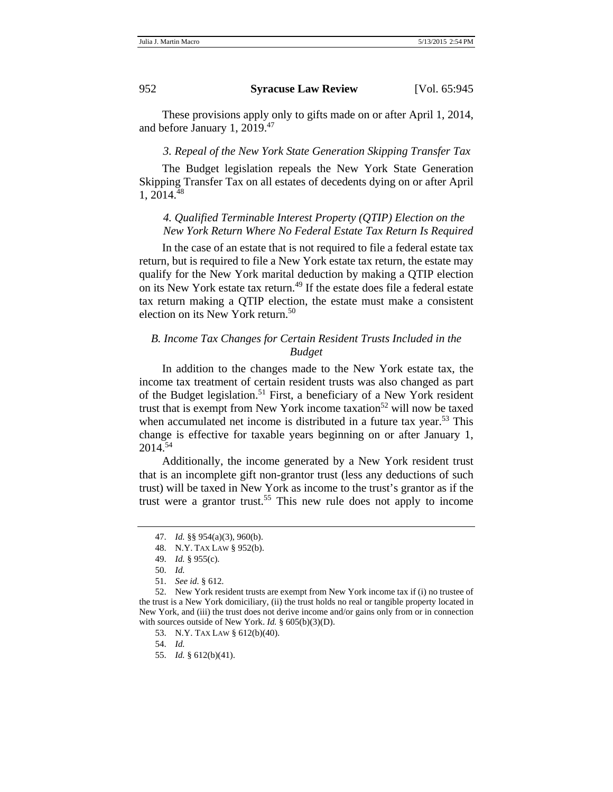These provisions apply only to gifts made on or after April 1, 2014, and before January 1, 2019.<sup>47</sup>

#### *3. Repeal of the New York State Generation Skipping Transfer Tax*

The Budget legislation repeals the New York State Generation Skipping Transfer Tax on all estates of decedents dying on or after April 1, 2014.48

# *4. Qualified Terminable Interest Property (QTIP) Election on the New York Return Where No Federal Estate Tax Return Is Required*

In the case of an estate that is not required to file a federal estate tax return, but is required to file a New York estate tax return, the estate may qualify for the New York marital deduction by making a QTIP election on its New York estate tax return.<sup>49</sup> If the estate does file a federal estate tax return making a QTIP election, the estate must make a consistent election on its New York return.<sup>50</sup>

# *B. Income Tax Changes for Certain Resident Trusts Included in the Budget*

In addition to the changes made to the New York estate tax, the income tax treatment of certain resident trusts was also changed as part of the Budget legislation.<sup>51</sup> First, a beneficiary of a New York resident trust that is exempt from New York income taxation<sup>52</sup> will now be taxed when accumulated net income is distributed in a future tax year.<sup>53</sup> This change is effective for taxable years beginning on or after January 1, 2014.54

Additionally, the income generated by a New York resident trust that is an incomplete gift non-grantor trust (less any deductions of such trust) will be taxed in New York as income to the trust's grantor as if the trust were a grantor trust.<sup>55</sup> This new rule does not apply to income

<sup>47.</sup> *Id.* §§ 954(a)(3), 960(b).

<sup>48.</sup> N.Y. TAX LAW § 952(b).

<sup>49.</sup> *Id.* § 955(c).

<sup>50.</sup> *Id.*

<sup>51.</sup> *See id.* § 612.

<sup>52.</sup> New York resident trusts are exempt from New York income tax if (i) no trustee of the trust is a New York domiciliary, (ii) the trust holds no real or tangible property located in New York, and (iii) the trust does not derive income and/or gains only from or in connection with sources outside of New York. *Id.* § 605(b)(3)(D).

<sup>53.</sup> N.Y. TAX LAW § 612(b)(40).

<sup>54.</sup> *Id.*

<sup>55.</sup> *Id.* § 612(b)(41).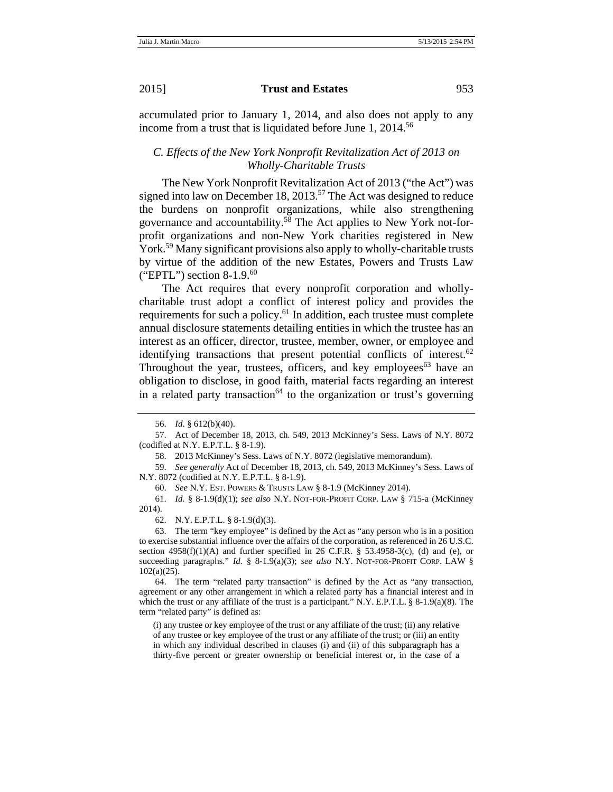accumulated prior to January 1, 2014, and also does not apply to any income from a trust that is liquidated before June 1, 2014.<sup>56</sup>

## *C. Effects of the New York Nonprofit Revitalization Act of 2013 on Wholly-Charitable Trusts*

The New York Nonprofit Revitalization Act of 2013 ("the Act") was signed into law on December 18, 2013.<sup>57</sup> The Act was designed to reduce the burdens on nonprofit organizations, while also strengthening governance and accountability.58 The Act applies to New York not-forprofit organizations and non-New York charities registered in New York.<sup>59</sup> Many significant provisions also apply to wholly-charitable trusts by virtue of the addition of the new Estates, Powers and Trusts Law ("EPTL") section  $8-1.9$ .<sup>60</sup>

The Act requires that every nonprofit corporation and whollycharitable trust adopt a conflict of interest policy and provides the requirements for such a policy. $61$  In addition, each trustee must complete annual disclosure statements detailing entities in which the trustee has an interest as an officer, director, trustee, member, owner, or employee and identifying transactions that present potential conflicts of interest.<sup>62</sup> Throughout the year, trustees, officers, and key employees<sup>63</sup> have an obligation to disclose, in good faith, material facts regarding an interest in a related party transaction<sup>64</sup> to the organization or trust's governing

59. *See generally* Act of December 18, 2013, ch. 549, 2013 McKinney's Sess. Laws of N.Y. 8072 (codified at N.Y. E.P.T.L. § 8-1.9).

60. *See* N.Y. EST. POWERS & TRUSTS LAW § 8-1.9 (McKinney 2014).

61. *Id.* § 8-1.9(d)(1); *see also* N.Y. NOT-FOR-PROFIT CORP. LAW § 715-a (McKinney 2014).

62. N.Y. E.P.T.L. § 8-1.9(d)(3).

63. The term "key employee" is defined by the Act as "any person who is in a position to exercise substantial influence over the affairs of the corporation, as referenced in 26 U.S.C. section  $4958(f)(1)(A)$  and further specified in 26 C.F.R. § 53.4958-3(c), (d) and (e), or succeeding paragraphs." *Id.* § 8-1.9(a)(3); *see also* N.Y. NOT-FOR-PROFIT CORP. LAW § 102(a)(25).

64. The term "related party transaction" is defined by the Act as "any transaction, agreement or any other arrangement in which a related party has a financial interest and in which the trust or any affiliate of the trust is a participant." N.Y. E.P.T.L. § 8-1.9(a)(8). The term "related party" is defined as:

(i) any trustee or key employee of the trust or any affiliate of the trust; (ii) any relative of any trustee or key employee of the trust or any affiliate of the trust; or (iii) an entity in which any individual described in clauses (i) and (ii) of this subparagraph has a thirty-five percent or greater ownership or beneficial interest or, in the case of a

<sup>56.</sup> *Id*. § 612(b)(40).

<sup>57.</sup> Act of December 18, 2013, ch. 549, 2013 McKinney's Sess. Laws of N.Y. 8072 (codified at N.Y. E.P.T.L. § 8-1.9).

<sup>58. 2013</sup> McKinney's Sess. Laws of N.Y. 8072 (legislative memorandum).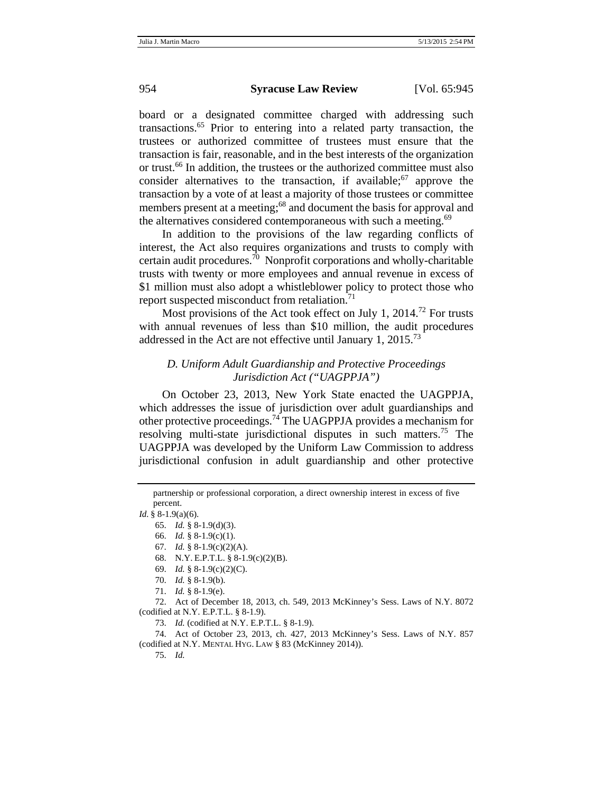board or a designated committee charged with addressing such transactions.65 Prior to entering into a related party transaction, the trustees or authorized committee of trustees must ensure that the transaction is fair, reasonable, and in the best interests of the organization or trust.66 In addition, the trustees or the authorized committee must also consider alternatives to the transaction, if available;  $67$  approve the transaction by a vote of at least a majority of those trustees or committee members present at a meeting;<sup>68</sup> and document the basis for approval and the alternatives considered contemporaneous with such a meeting.<sup>69</sup>

In addition to the provisions of the law regarding conflicts of interest, the Act also requires organizations and trusts to comply with certain audit procedures.<sup>70</sup> Nonprofit corporations and wholly-charitable trusts with twenty or more employees and annual revenue in excess of \$1 million must also adopt a whistleblower policy to protect those who report suspected misconduct from retaliation.<sup>71</sup>

Most provisions of the Act took effect on July 1, 2014.<sup>72</sup> For trusts with annual revenues of less than \$10 million, the audit procedures addressed in the Act are not effective until January 1,  $2015.^{73}$ 

# *D. Uniform Adult Guardianship and Protective Proceedings Jurisdiction Act ("UAGPPJA")*

On October 23, 2013, New York State enacted the UAGPPJA, which addresses the issue of jurisdiction over adult guardianships and other protective proceedings.74 The UAGPPJA provides a mechanism for resolving multi-state jurisdictional disputes in such matters.<sup>75</sup> The UAGPPJA was developed by the Uniform Law Commission to address jurisdictional confusion in adult guardianship and other protective

73. *Id.* (codified at N.Y. E.P.T.L. § 8-1.9).

74. Act of October 23, 2013, ch. 427, 2013 McKinney's Sess. Laws of N.Y. 857 (codified at N.Y. MENTAL HYG. LAW § 83 (McKinney 2014)).

75. *Id.*

partnership or professional corporation, a direct ownership interest in excess of five percent.

*Id.* § 8-1.9(a)(6).

<sup>65.</sup> *Id.* § 8-1.9(d)(3).

<sup>66.</sup> *Id.* § 8-1.9(c)(1).

<sup>67.</sup> *Id.* § 8-1.9(c)(2)(A).

<sup>68.</sup> N.Y. E.P.T.L. § 8-1.9(c)(2)(B).

<sup>69.</sup> *Id.* § 8-1.9(c)(2)(C).

<sup>70.</sup> *Id.* § 8-1.9(b).

<sup>71.</sup> *Id.* § 8-1.9(e).

<sup>72.</sup> Act of December 18, 2013, ch. 549, 2013 McKinney's Sess. Laws of N.Y. 8072 (codified at N.Y. E.P.T.L. § 8-1.9).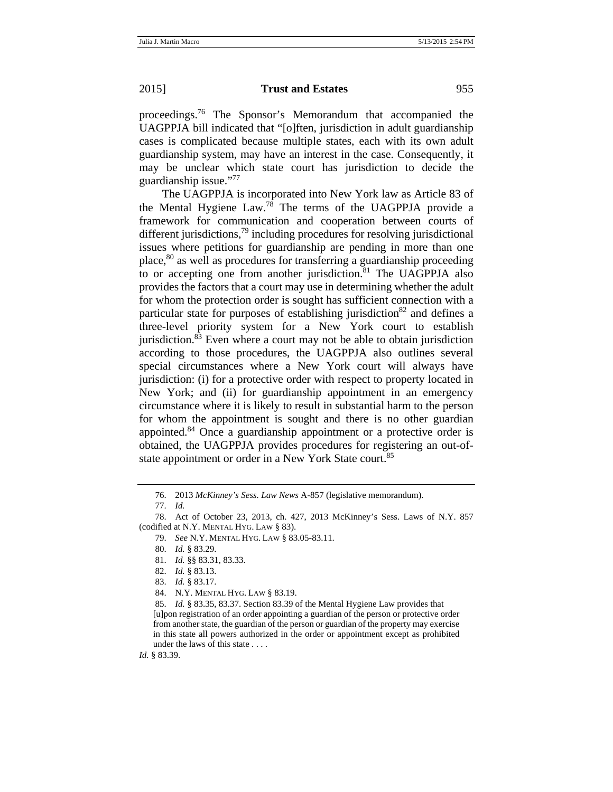proceedings.76 The Sponsor's Memorandum that accompanied the UAGPPJA bill indicated that "[o]ften, jurisdiction in adult guardianship cases is complicated because multiple states, each with its own adult guardianship system, may have an interest in the case. Consequently, it may be unclear which state court has jurisdiction to decide the guardianship issue."77

The UAGPPJA is incorporated into New York law as Article 83 of the Mental Hygiene Law.78 The terms of the UAGPPJA provide a framework for communication and cooperation between courts of different jurisdictions,  $^{79}$  including procedures for resolving jurisdictional issues where petitions for guardianship are pending in more than one place,80 as well as procedures for transferring a guardianship proceeding to or accepting one from another jurisdiction.<sup>81</sup> The UAGPPJA also provides the factors that a court may use in determining whether the adult for whom the protection order is sought has sufficient connection with a particular state for purposes of establishing jurisdiction<sup>82</sup> and defines a three-level priority system for a New York court to establish jurisdiction. $83$  Even where a court may not be able to obtain jurisdiction according to those procedures, the UAGPPJA also outlines several special circumstances where a New York court will always have jurisdiction: (i) for a protective order with respect to property located in New York; and (ii) for guardianship appointment in an emergency circumstance where it is likely to result in substantial harm to the person for whom the appointment is sought and there is no other guardian appointed.84 Once a guardianship appointment or a protective order is obtained, the UAGPPJA provides procedures for registering an out-ofstate appointment or order in a New York State court.<sup>85</sup>

<sup>76. 2013</sup> *McKinney's Sess. Law News* A-857 (legislative memorandum).

<sup>77.</sup> *Id.*

<sup>78.</sup> Act of October 23, 2013, ch. 427, 2013 McKinney's Sess. Laws of N.Y. 857 (codified at N.Y. MENTAL HYG. LAW § 83).

<sup>79.</sup> *See* N.Y. MENTAL HYG. LAW § 83.05-83.11.

<sup>80.</sup> *Id.* § 83.29.

<sup>81.</sup> *Id.* §§ 83.31, 83.33.

<sup>82.</sup> *Id.* § 83.13.

<sup>83.</sup> *Id.* § 83.17.

<sup>84.</sup> N.Y. MENTAL HYG. LAW § 83.19.

<sup>85.</sup> *Id.* § 83.35, 83.37. Section 83.39 of the Mental Hygiene Law provides that [u]pon registration of an order appointing a guardian of the person or protective order from another state, the guardian of the person or guardian of the property may exercise in this state all powers authorized in the order or appointment except as prohibited under the laws of this state . . . .

*Id.* § 83.39.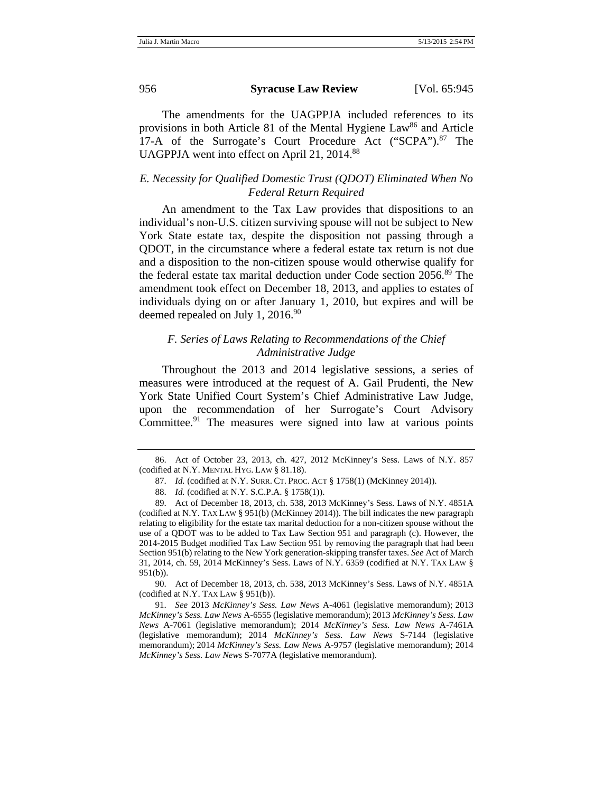The amendments for the UAGPPJA included references to its provisions in both Article 81 of the Mental Hygiene  $Law^{86}$  and Article 17-A of the Surrogate's Court Procedure Act ("SCPA").<sup>87</sup> The UAGPPJA went into effect on April 21, 2014.88

# *E. Necessity for Qualified Domestic Trust (QDOT) Eliminated When No Federal Return Required*

An amendment to the Tax Law provides that dispositions to an individual's non-U.S. citizen surviving spouse will not be subject to New York State estate tax, despite the disposition not passing through a QDOT, in the circumstance where a federal estate tax return is not due and a disposition to the non-citizen spouse would otherwise qualify for the federal estate tax marital deduction under Code section 2056.<sup>89</sup> The amendment took effect on December 18, 2013, and applies to estates of individuals dying on or after January 1, 2010, but expires and will be deemed repealed on July 1,  $2016.^{90}$ 

# *F. Series of Laws Relating to Recommendations of the Chief Administrative Judge*

Throughout the 2013 and 2014 legislative sessions, a series of measures were introduced at the request of A. Gail Prudenti, the New York State Unified Court System's Chief Administrative Law Judge, upon the recommendation of her Surrogate's Court Advisory Committee.<sup>91</sup> The measures were signed into law at various points

90. Act of December 18, 2013, ch. 538, 2013 McKinney's Sess. Laws of N.Y. 4851A (codified at N.Y. TAX LAW  $\S$  951(b)).

91. *See* 2013 *McKinney's Sess. Law News* A-4061 (legislative memorandum); 2013 *McKinney's Sess. Law News* A-6555 (legislative memorandum); 2013 *McKinney's Sess. Law News* A-7061 (legislative memorandum); 2014 *McKinney's Sess. Law News* A-7461A (legislative memorandum); 2014 *McKinney's Sess. Law News* S-7144 (legislative memorandum); 2014 *McKinney's Sess. Law News* A-9757 (legislative memorandum); 2014 *McKinney's Sess. Law News* S-7077A (legislative memorandum).

<sup>86.</sup> Act of October 23, 2013, ch. 427, 2012 McKinney's Sess. Laws of N.Y. 857 (codified at N.Y. MENTAL HYG. LAW § 81.18).

<sup>87.</sup> *Id.* (codified at N.Y. SURR. CT. PROC. ACT § 1758(1) (McKinney 2014)).

<sup>88.</sup> *Id.* (codified at N.Y. S.C.P.A. § 1758(1)).

<sup>89.</sup> Act of December 18, 2013, ch. 538, 2013 McKinney's Sess. Laws of N.Y. 4851A (codified at N.Y. TAX LAW § 951(b) (McKinney 2014)). The bill indicates the new paragraph relating to eligibility for the estate tax marital deduction for a non-citizen spouse without the use of a QDOT was to be added to Tax Law Section 951 and paragraph (c). However, the 2014-2015 Budget modified Tax Law Section 951 by removing the paragraph that had been Section 951(b) relating to the New York generation-skipping transfer taxes. *See* Act of March 31, 2014, ch. 59, 2014 McKinney's Sess. Laws of N.Y. 6359 (codified at N.Y. TAX LAW § 951(b)).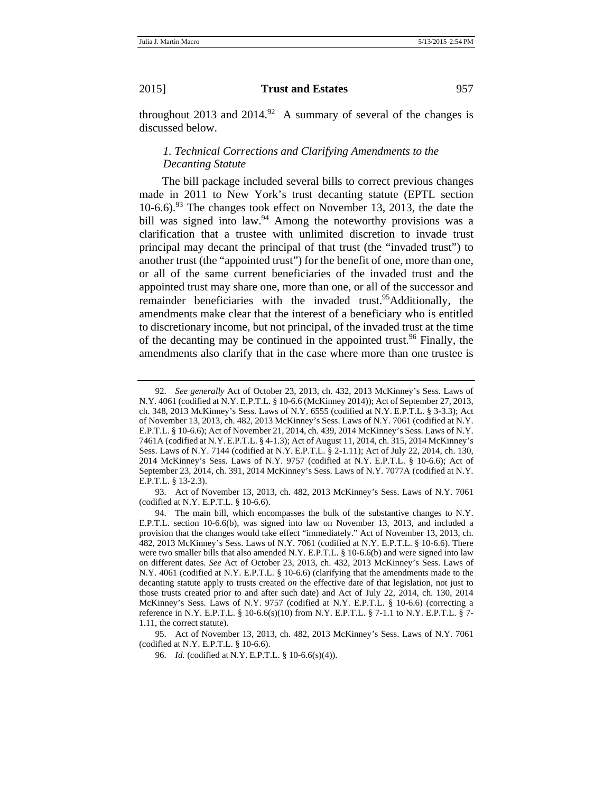throughout 2013 and  $2014.^{92}$  A summary of several of the changes is discussed below.

# *1. Technical Corrections and Clarifying Amendments to the Decanting Statute*

The bill package included several bills to correct previous changes made in 2011 to New York's trust decanting statute (EPTL section  $10-6.6$ .<sup>93</sup> The changes took effect on November 13, 2013, the date the bill was signed into law.<sup>94</sup> Among the noteworthy provisions was a clarification that a trustee with unlimited discretion to invade trust principal may decant the principal of that trust (the "invaded trust") to another trust (the "appointed trust") for the benefit of one, more than one, or all of the same current beneficiaries of the invaded trust and the appointed trust may share one, more than one, or all of the successor and remainder beneficiaries with the invaded trust.<sup>95</sup>Additionally, the amendments make clear that the interest of a beneficiary who is entitled to discretionary income, but not principal, of the invaded trust at the time of the decanting may be continued in the appointed trust.<sup>96</sup> Finally, the amendments also clarify that in the case where more than one trustee is

<sup>92.</sup> *See generally* Act of October 23, 2013, ch. 432, 2013 McKinney's Sess. Laws of N.Y. 4061 (codified at N.Y. E.P.T.L. § 10-6.6 (McKinney 2014)); Act of September 27, 2013, ch. 348, 2013 McKinney's Sess. Laws of N.Y. 6555 (codified at N.Y. E.P.T.L. § 3-3.3); Act of November 13, 2013, ch. 482, 2013 McKinney's Sess. Laws of N.Y. 7061 (codified at N.Y. E.P.T.L. § 10-6.6); Act of November 21, 2014, ch. 439, 2014 McKinney's Sess. Laws of N.Y. 7461A (codified at N.Y.E.P.T.L. § 4-1.3); Act of August 11, 2014, ch. 315, 2014 McKinney's Sess. Laws of N.Y. 7144 (codified at N.Y. E.P.T.L. § 2-1.11); Act of July 22, 2014, ch. 130, 2014 McKinney's Sess. Laws of N.Y. 9757 (codified at N.Y. E.P.T.L. § 10-6.6); Act of September 23, 2014, ch. 391, 2014 McKinney's Sess. Laws of N.Y. 7077A (codified at N.Y. E.P.T.L. § 13-2.3).

<sup>93.</sup> Act of November 13, 2013, ch. 482, 2013 McKinney's Sess. Laws of N.Y. 7061 (codified at N.Y. E.P.T.L. § 10-6.6).

<sup>94.</sup> The main bill, which encompasses the bulk of the substantive changes to N.Y. E.P.T.L. section 10-6.6(b), was signed into law on November 13, 2013, and included a provision that the changes would take effect "immediately." Act of November 13, 2013, ch. 482, 2013 McKinney's Sess. Laws of N.Y. 7061 (codified at N.Y. E.P.T.L. § 10-6.6). There were two smaller bills that also amended N.Y. E.P.T.L. § 10-6.6(b) and were signed into law on different dates. *See* Act of October 23, 2013, ch. 432, 2013 McKinney's Sess. Laws of N.Y. 4061 (codified at N.Y. E.P.T.L. § 10-6.6) (clarifying that the amendments made to the decanting statute apply to trusts created *on* the effective date of that legislation, not just to those trusts created prior to and after such date) and Act of July 22, 2014, ch. 130, 2014 McKinney's Sess. Laws of N.Y. 9757 (codified at N.Y. E.P.T.L. § 10-6.6) (correcting a reference in N.Y. E.P.T.L. § 10-6.6(s)(10) from N.Y. E.P.T.L. § 7-1.1 to N.Y. E.P.T.L. § 7- 1.11, the correct statute).

<sup>95.</sup> Act of November 13, 2013, ch. 482, 2013 McKinney's Sess. Laws of N.Y. 7061 (codified at N.Y. E.P.T.L. § 10-6.6).

<sup>96.</sup> *Id.* (codified at N.Y. E.P.T.L. § 10-6.6(s)(4)).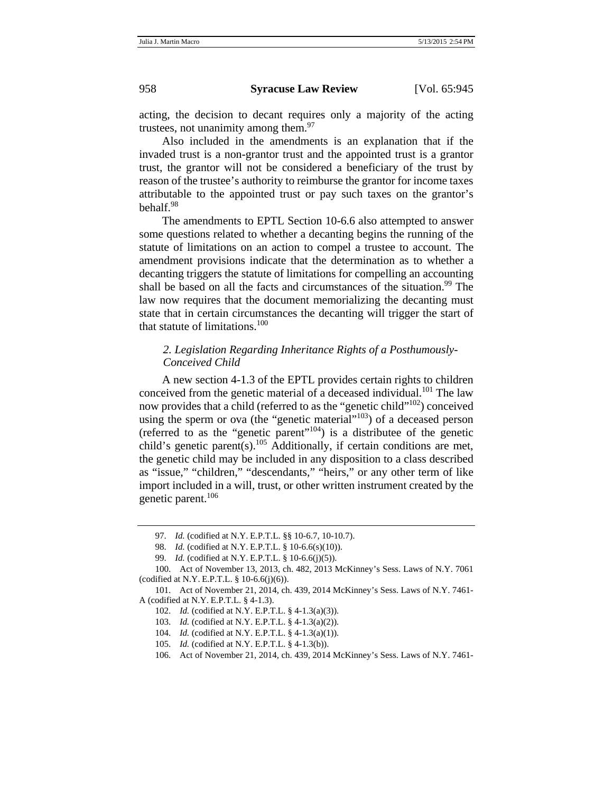acting, the decision to decant requires only a majority of the acting trustees, not unanimity among them. $97$ 

Also included in the amendments is an explanation that if the invaded trust is a non-grantor trust and the appointed trust is a grantor trust, the grantor will not be considered a beneficiary of the trust by reason of the trustee's authority to reimburse the grantor for income taxes attributable to the appointed trust or pay such taxes on the grantor's behalf.<sup>98</sup>

The amendments to EPTL Section 10-6.6 also attempted to answer some questions related to whether a decanting begins the running of the statute of limitations on an action to compel a trustee to account. The amendment provisions indicate that the determination as to whether a decanting triggers the statute of limitations for compelling an accounting shall be based on all the facts and circumstances of the situation.<sup>99</sup> The law now requires that the document memorializing the decanting must state that in certain circumstances the decanting will trigger the start of that statute of limitations.<sup>100</sup>

# *2. Legislation Regarding Inheritance Rights of a Posthumously- Conceived Child*

A new section 4-1.3 of the EPTL provides certain rights to children conceived from the genetic material of a deceased individual.<sup>101</sup> The law now provides that a child (referred to as the "genetic child"<sup>102</sup>) conceived using the sperm or ova (the "genetic material"<sup>103</sup>) of a deceased person (referred to as the "genetic parent"104) is a distributee of the genetic child's genetic parent(s).<sup>105</sup> Additionally, if certain conditions are met, the genetic child may be included in any disposition to a class described as "issue," "children," "descendants," "heirs," or any other term of like import included in a will, trust, or other written instrument created by the genetic parent.<sup>106</sup>

<sup>97.</sup> *Id.* (codified at N.Y. E.P.T.L. §§ 10-6.7, 10-10.7).

<sup>98.</sup> *Id.* (codified at N.Y. E.P.T.L. § 10-6.6(s)(10)).

<sup>99.</sup> *Id.* (codified at N.Y. E.P.T.L. § 10-6.6(j)(5)).

<sup>100.</sup> Act of November 13, 2013, ch. 482, 2013 McKinney's Sess. Laws of N.Y. 7061 (codified at N.Y. E.P.T.L. § 10-6.6(j)(6)).

<sup>101.</sup> Act of November 21, 2014, ch. 439, 2014 McKinney's Sess. Laws of N.Y. 7461- A (codified at N.Y. E.P.T.L. § 4-1.3).

<sup>102.</sup> *Id.* (codified at N.Y. E.P.T.L. § 4-1.3(a)(3)).

<sup>103.</sup> *Id.* (codified at N.Y. E.P.T.L. § 4-1.3(a)(2)).

<sup>104.</sup> *Id.* (codified at N.Y. E.P.T.L. § 4-1.3(a)(1)).

<sup>105.</sup> *Id.* (codified at N.Y. E.P.T.L. § 4-1.3(b)).

<sup>106.</sup> Act of November 21, 2014, ch. 439, 2014 McKinney's Sess. Laws of N.Y. 7461-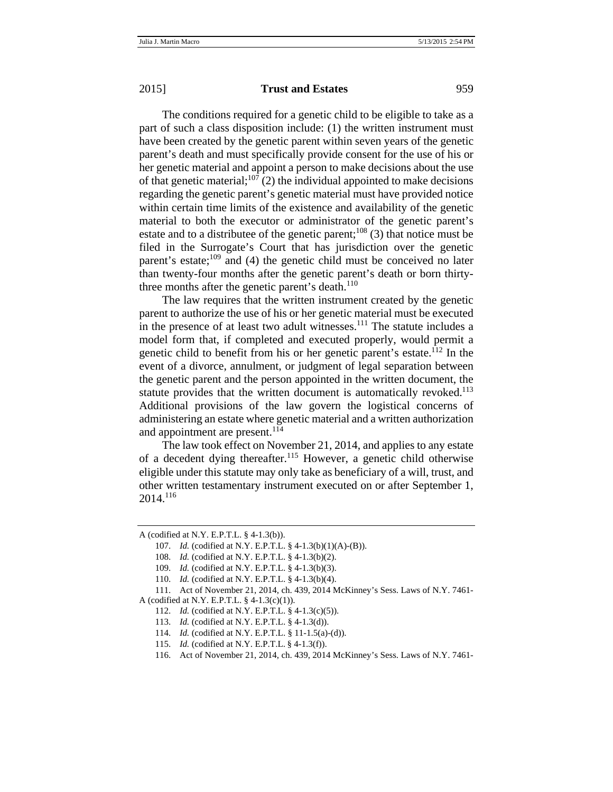The conditions required for a genetic child to be eligible to take as a part of such a class disposition include: (1) the written instrument must have been created by the genetic parent within seven years of the genetic parent's death and must specifically provide consent for the use of his or her genetic material and appoint a person to make decisions about the use of that genetic material;<sup>107</sup> (2) the individual appointed to make decisions regarding the genetic parent's genetic material must have provided notice within certain time limits of the existence and availability of the genetic material to both the executor or administrator of the genetic parent's estate and to a distributee of the genetic parent;<sup>108</sup> (3) that notice must be filed in the Surrogate's Court that has jurisdiction over the genetic parent's estate; $^{109}$  and (4) the genetic child must be conceived no later than twenty-four months after the genetic parent's death or born thirtythree months after the genetic parent's death. $110$ 

The law requires that the written instrument created by the genetic parent to authorize the use of his or her genetic material must be executed in the presence of at least two adult witnesses.<sup>111</sup> The statute includes a model form that, if completed and executed properly, would permit a genetic child to benefit from his or her genetic parent's estate.112 In the event of a divorce, annulment, or judgment of legal separation between the genetic parent and the person appointed in the written document, the statute provides that the written document is automatically revoked.<sup>113</sup> Additional provisions of the law govern the logistical concerns of administering an estate where genetic material and a written authorization and appointment are present. $114$ 

The law took effect on November 21, 2014, and applies to any estate of a decedent dying thereafter.<sup>115</sup> However, a genetic child otherwise eligible under this statute may only take as beneficiary of a will, trust, and other written testamentary instrument executed on or after September 1, 2014.116

A (codified at N.Y. E.P.T.L. § 4-1.3(b)).

<sup>107.</sup> *Id.* (codified at N.Y. E.P.T.L. § 4-1.3(b)(1)(A)-(B)).

<sup>108.</sup> *Id.* (codified at N.Y. E.P.T.L. § 4-1.3(b)(2).

<sup>109.</sup> *Id.* (codified at N.Y. E.P.T.L. § 4-1.3(b)(3).

<sup>110.</sup> *Id.* (codified at N.Y. E.P.T.L. § 4-1.3(b)(4).

<sup>111.</sup> Act of November 21, 2014, ch. 439, 2014 McKinney's Sess. Laws of N.Y. 7461- A (codified at N.Y. E.P.T.L. § 4-1.3(c)(1)).

<sup>112.</sup> *Id.* (codified at N.Y. E.P.T.L. § 4-1.3(c)(5)).

<sup>113.</sup> *Id.* (codified at N.Y. E.P.T.L. § 4-1.3(d)).

<sup>114.</sup> *Id.* (codified at N.Y. E.P.T.L. § 11-1.5(a)-(d)).

<sup>115.</sup> *Id.* (codified at N.Y. E.P.T.L. § 4-1.3(f)).

<sup>116.</sup> Act of November 21, 2014, ch. 439, 2014 McKinney's Sess. Laws of N.Y. 7461-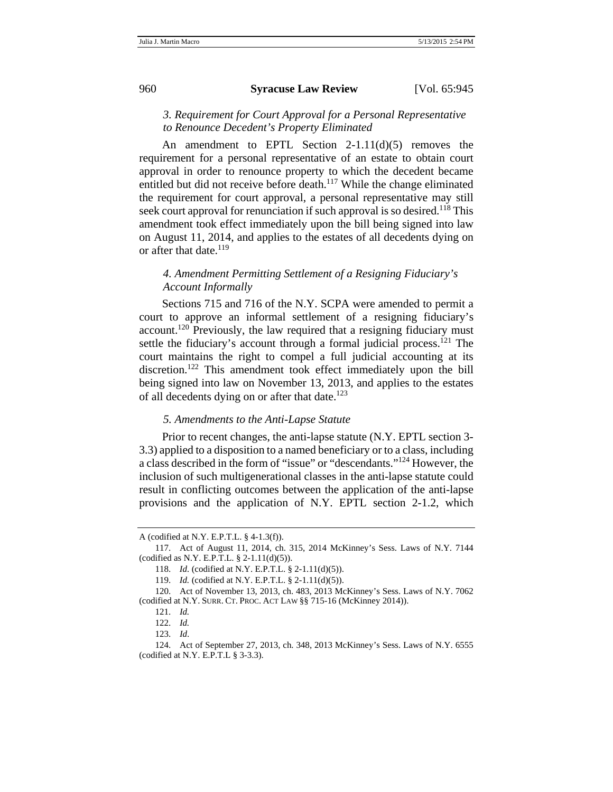# *3. Requirement for Court Approval for a Personal Representative to Renounce Decedent's Property Eliminated*

An amendment to EPTL Section 2-1.11(d)(5) removes the requirement for a personal representative of an estate to obtain court approval in order to renounce property to which the decedent became entitled but did not receive before death.<sup>117</sup> While the change eliminated the requirement for court approval, a personal representative may still seek court approval for renunciation if such approval is so desired.<sup>118</sup> This amendment took effect immediately upon the bill being signed into law on August 11, 2014, and applies to the estates of all decedents dying on or after that date.<sup>119</sup>

# *4. Amendment Permitting Settlement of a Resigning Fiduciary's Account Informally*

Sections 715 and 716 of the N.Y. SCPA were amended to permit a court to approve an informal settlement of a resigning fiduciary's account.<sup>120</sup> Previously, the law required that a resigning fiduciary must settle the fiduciary's account through a formal judicial process.<sup>121</sup> The court maintains the right to compel a full judicial accounting at its discretion.<sup>122</sup> This amendment took effect immediately upon the bill being signed into law on November 13, 2013, and applies to the estates of all decedents dying on or after that date.<sup>123</sup>

#### *5. Amendments to the Anti-Lapse Statute*

Prior to recent changes, the anti-lapse statute (N.Y. EPTL section 3- 3.3) applied to a disposition to a named beneficiary or to a class, including a class described in the form of "issue" or "descendants."124 However, the inclusion of such multigenerational classes in the anti-lapse statute could result in conflicting outcomes between the application of the anti-lapse provisions and the application of N.Y. EPTL section 2-1.2, which

A (codified at N.Y. E.P.T.L. § 4-1.3(f)).

<sup>117.</sup> Act of August 11, 2014, ch. 315, 2014 McKinney's Sess. Laws of N.Y. 7144 (codified as N.Y. E.P.T.L.  $\S$  2-1.11(d)(5)).

<sup>118.</sup> *Id.* (codified at N.Y. E.P.T.L. § 2-1.11(d)(5)).

<sup>119.</sup> *Id.* (codified at N.Y. E.P.T.L. § 2-1.11(d)(5)).

<sup>120.</sup> Act of November 13, 2013, ch. 483, 2013 McKinney's Sess. Laws of N.Y. 7062 (codified at N.Y. SURR. CT. PROC. ACT LAW §§ 715-16 (McKinney 2014)).

<sup>121.</sup> *Id.*

<sup>122.</sup> *Id.*

<sup>123.</sup> *Id*.

<sup>124.</sup> Act of September 27, 2013, ch. 348, 2013 McKinney's Sess. Laws of N.Y. 6555 (codified at N.Y. E.P.T.L § 3-3.3).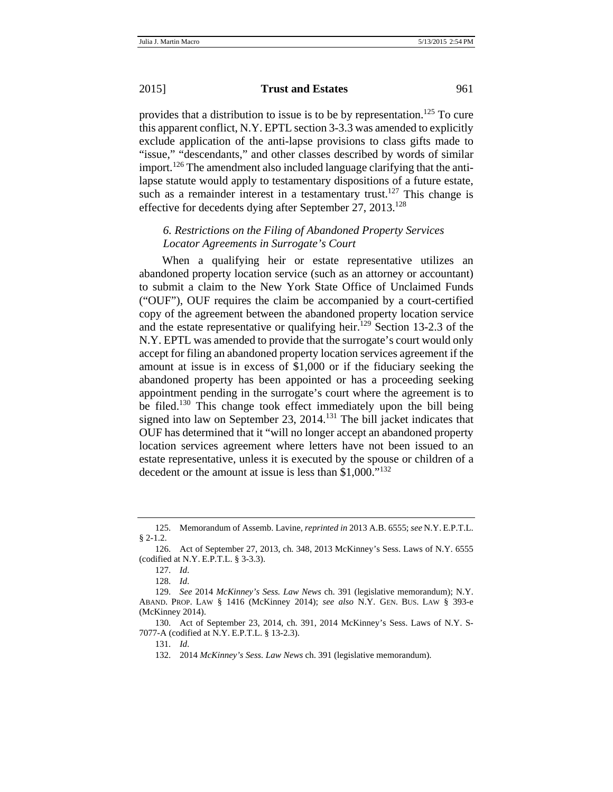provides that a distribution to issue is to be by representation.<sup>125</sup> To cure this apparent conflict, N.Y. EPTL section 3-3.3 was amended to explicitly exclude application of the anti-lapse provisions to class gifts made to "issue," "descendants," and other classes described by words of similar import.<sup>126</sup> The amendment also included language clarifying that the antilapse statute would apply to testamentary dispositions of a future estate, such as a remainder interest in a testamentary trust.<sup>127</sup> This change is effective for decedents dying after September 27,  $2013^{128}$ 

# *6. Restrictions on the Filing of Abandoned Property Services Locator Agreements in Surrogate's Court*

When a qualifying heir or estate representative utilizes an abandoned property location service (such as an attorney or accountant) to submit a claim to the New York State Office of Unclaimed Funds ("OUF"), OUF requires the claim be accompanied by a court-certified copy of the agreement between the abandoned property location service and the estate representative or qualifying heir.<sup>129</sup> Section 13-2.3 of the N.Y. EPTL was amended to provide that the surrogate's court would only accept for filing an abandoned property location services agreement if the amount at issue is in excess of \$1,000 or if the fiduciary seeking the abandoned property has been appointed or has a proceeding seeking appointment pending in the surrogate's court where the agreement is to be filed.<sup>130</sup> This change took effect immediately upon the bill being signed into law on September 23, 2014.<sup>131</sup> The bill jacket indicates that OUF has determined that it "will no longer accept an abandoned property location services agreement where letters have not been issued to an estate representative, unless it is executed by the spouse or children of a decedent or the amount at issue is less than \$1,000."<sup>132</sup>

<sup>125.</sup> Memorandum of Assemb. Lavine, *reprinted in* 2013 A.B. 6555; *see* N.Y. E.P.T.L. § 2-1.2.

<sup>126.</sup> Act of September 27, 2013, ch. 348, 2013 McKinney's Sess. Laws of N.Y. 6555 (codified at N.Y. E.P.T.L. § 3-3.3).

<sup>127.</sup> *Id*.

<sup>128.</sup> *Id*.

<sup>129.</sup> *See* 2014 *McKinney's Sess. Law News* ch. 391 (legislative memorandum); N.Y. ABAND. PROP. LAW § 1416 (McKinney 2014); *see also* N.Y. GEN. BUS. LAW § 393-e (McKinney 2014).

<sup>130.</sup> Act of September 23, 2014, ch. 391, 2014 McKinney's Sess. Laws of N.Y. S-7077-A (codified at N.Y. E.P.T.L. § 13-2.3).

<sup>131.</sup> *Id*.

<sup>132. 2014</sup> *McKinney's Sess. Law News* ch. 391 (legislative memorandum).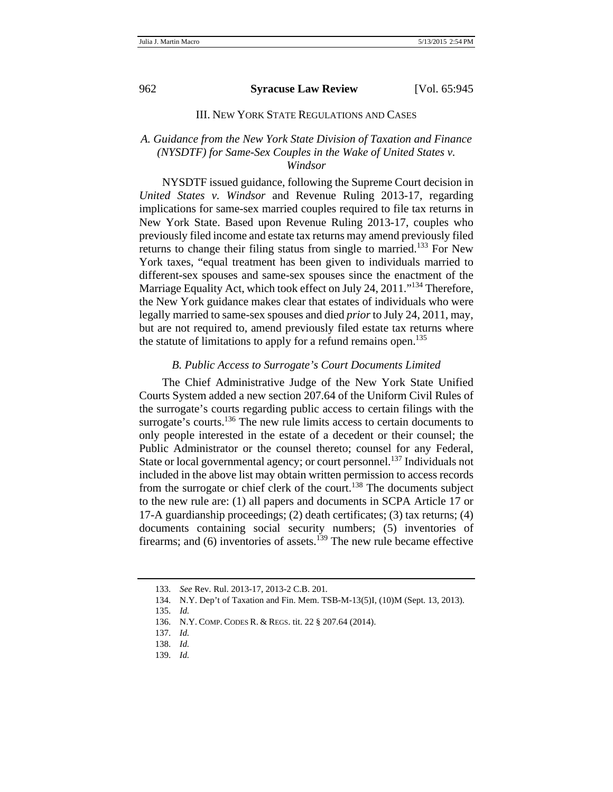#### III. NEW YORK STATE REGULATIONS AND CASES

## *A. Guidance from the New York State Division of Taxation and Finance (NYSDTF) for Same-Sex Couples in the Wake of United States v. Windsor*

NYSDTF issued guidance, following the Supreme Court decision in *United States v. Windsor* and Revenue Ruling 2013-17, regarding implications for same-sex married couples required to file tax returns in New York State. Based upon Revenue Ruling 2013-17, couples who previously filed income and estate tax returns may amend previously filed returns to change their filing status from single to married.<sup>133</sup> For New York taxes, "equal treatment has been given to individuals married to different-sex spouses and same-sex spouses since the enactment of the Marriage Equality Act, which took effect on July 24, 2011."<sup>134</sup> Therefore, the New York guidance makes clear that estates of individuals who were legally married to same-sex spouses and died *prior* to July 24, 2011, may, but are not required to, amend previously filed estate tax returns where the statute of limitations to apply for a refund remains open.<sup>135</sup>

#### *B. Public Access to Surrogate's Court Documents Limited*

The Chief Administrative Judge of the New York State Unified Courts System added a new section 207.64 of the Uniform Civil Rules of the surrogate's courts regarding public access to certain filings with the surrogate's courts.<sup>136</sup> The new rule limits access to certain documents to only people interested in the estate of a decedent or their counsel; the Public Administrator or the counsel thereto; counsel for any Federal, State or local governmental agency; or court personnel.<sup>137</sup> Individuals not included in the above list may obtain written permission to access records from the surrogate or chief clerk of the court.<sup>138</sup> The documents subject to the new rule are: (1) all papers and documents in SCPA Article 17 or 17-A guardianship proceedings; (2) death certificates; (3) tax returns; (4) documents containing social security numbers; (5) inventories of firearms; and (6) inventories of assets.<sup>139</sup> The new rule became effective

<sup>133.</sup> *See* Rev. Rul. 2013-17, 2013-2 C.B. 201*.*

<sup>134.</sup> N.Y. Dep't of Taxation and Fin. Mem. TSB-M-13(5)I, (10)M (Sept. 13, 2013).

<sup>135.</sup> *Id.*

<sup>136.</sup> N.Y. COMP. CODES R. & REGS. tit. 22 § 207.64 (2014).

<sup>137.</sup> *Id.*

<sup>138.</sup> *Id.*

<sup>139.</sup> *Id.*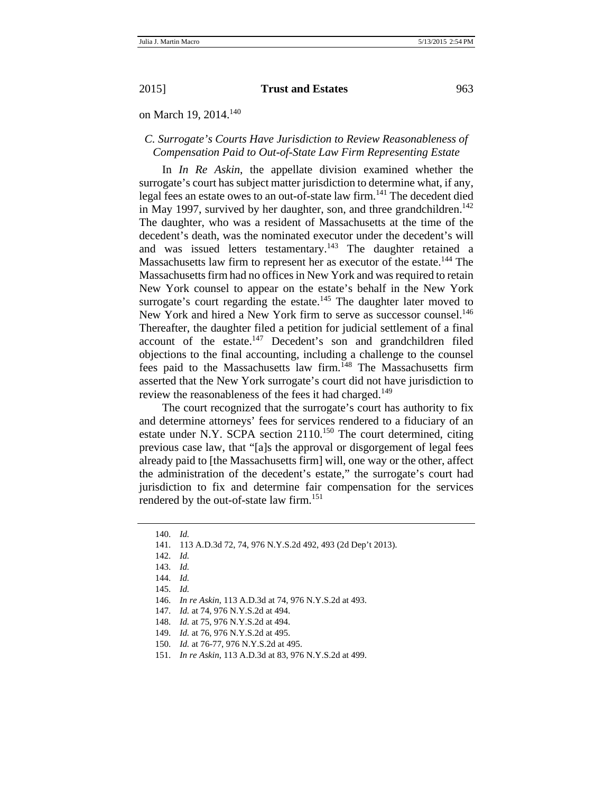on March 19, 2014.<sup>140</sup>

## *C. Surrogate's Courts Have Jurisdiction to Review Reasonableness of Compensation Paid to Out-of-State Law Firm Representing Estate*

In *In Re Askin*, the appellate division examined whether the surrogate's court has subject matter jurisdiction to determine what, if any, legal fees an estate owes to an out-of-state law firm.<sup>141</sup> The decedent died in May 1997, survived by her daughter, son, and three grandchildren.<sup>142</sup> The daughter, who was a resident of Massachusetts at the time of the decedent's death, was the nominated executor under the decedent's will and was issued letters testamentary.<sup>143</sup> The daughter retained a Massachusetts law firm to represent her as executor of the estate.<sup>144</sup> The Massachusetts firm had no offices in New York and was required to retain New York counsel to appear on the estate's behalf in the New York surrogate's court regarding the estate.<sup>145</sup> The daughter later moved to New York and hired a New York firm to serve as successor counsel.<sup>146</sup> Thereafter, the daughter filed a petition for judicial settlement of a final account of the estate. $147$  Decedent's son and grandchildren filed objections to the final accounting, including a challenge to the counsel fees paid to the Massachusetts law firm.<sup>148</sup> The Massachusetts firm asserted that the New York surrogate's court did not have jurisdiction to review the reasonableness of the fees it had charged.<sup>149</sup>

The court recognized that the surrogate's court has authority to fix and determine attorneys' fees for services rendered to a fiduciary of an estate under N.Y. SCPA section  $2110$ <sup>150</sup> The court determined, citing previous case law, that "[a]s the approval or disgorgement of legal fees already paid to [the Massachusetts firm] will, one way or the other, affect the administration of the decedent's estate," the surrogate's court had jurisdiction to fix and determine fair compensation for the services rendered by the out-of-state law firm.<sup>151</sup>

<sup>140.</sup> *Id.*

<sup>141. 113</sup> A.D.3d 72, 74, 976 N.Y.S.2d 492, 493 (2d Dep't 2013).

<sup>142.</sup> *Id.*

<sup>143.</sup> *Id.*

<sup>144.</sup> *Id.*

<sup>145.</sup> *Id.*

<sup>146.</sup> *In re Askin*, 113 A.D.3d at 74, 976 N.Y.S.2d at 493.

<sup>147.</sup> *Id.* at 74, 976 N.Y.S.2d at 494.

<sup>148.</sup> *Id.* at 75, 976 N.Y.S.2d at 494.

<sup>149.</sup> *Id.* at 76, 976 N.Y.S.2d at 495.

<sup>150.</sup> *Id.* at 76-77, 976 N.Y.S.2d at 495.

<sup>151.</sup> *In re Askin*, 113 A.D.3d at 83, 976 N.Y.S.2d at 499.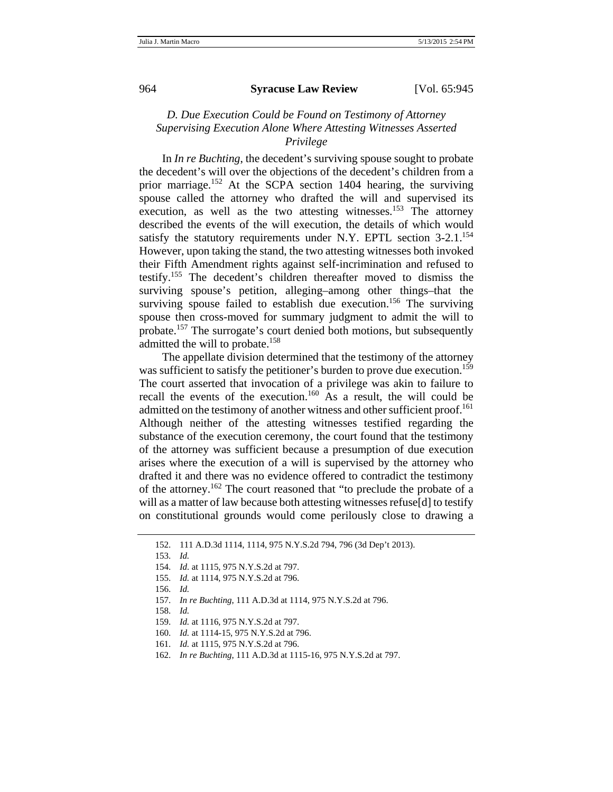# *D. Due Execution Could be Found on Testimony of Attorney Supervising Execution Alone Where Attesting Witnesses Asserted Privilege*

In *In re Buchting*, the decedent's surviving spouse sought to probate the decedent's will over the objections of the decedent's children from a prior marriage.<sup>152</sup> At the SCPA section 1404 hearing, the surviving spouse called the attorney who drafted the will and supervised its execution, as well as the two attesting witnesses.<sup>153</sup> The attorney described the events of the will execution, the details of which would satisfy the statutory requirements under N.Y. EPTL section  $3-2.1$ .<sup>154</sup> However, upon taking the stand, the two attesting witnesses both invoked their Fifth Amendment rights against self-incrimination and refused to testify.155 The decedent's children thereafter moved to dismiss the surviving spouse's petition, alleging–among other things–that the surviving spouse failed to establish due execution.<sup>156</sup> The surviving spouse then cross-moved for summary judgment to admit the will to probate.157 The surrogate's court denied both motions, but subsequently admitted the will to probate.<sup>158</sup>

The appellate division determined that the testimony of the attorney was sufficient to satisfy the petitioner's burden to prove due execution.<sup>159</sup> The court asserted that invocation of a privilege was akin to failure to recall the events of the execution.<sup>160</sup> As a result, the will could be admitted on the testimony of another witness and other sufficient proof.<sup>161</sup> Although neither of the attesting witnesses testified regarding the substance of the execution ceremony, the court found that the testimony of the attorney was sufficient because a presumption of due execution arises where the execution of a will is supervised by the attorney who drafted it and there was no evidence offered to contradict the testimony of the attorney.<sup>162</sup> The court reasoned that "to preclude the probate of a will as a matter of law because both attesting witnesses refuse[d] to testify on constitutional grounds would come perilously close to drawing a

157. *In re Buchting*, 111 A.D.3d at 1114, 975 N.Y.S.2d at 796.

158. *Id.*

- 159. *Id.* at 1116, 975 N.Y.S.2d at 797.
- 160. *Id.* at 1114-15, 975 N.Y.S.2d at 796.
- 161. *Id.* at 1115, 975 N.Y.S.2d at 796.
- 162. *In re Buchting*, 111 A.D.3d at 1115-16, 975 N.Y.S.2d at 797.

<sup>152. 111</sup> A.D.3d 1114, 1114, 975 N.Y.S.2d 794, 796 (3d Dep't 2013).

<sup>153.</sup> *Id.*

<sup>154.</sup> *Id.* at 1115, 975 N.Y.S.2d at 797.

<sup>155.</sup> *Id.* at 1114, 975 N.Y.S.2d at 796.

<sup>156.</sup> *Id.*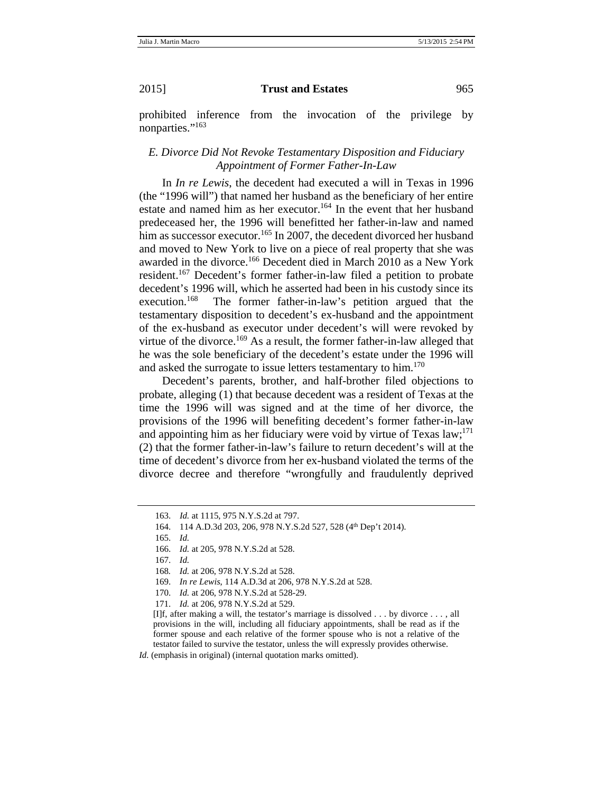prohibited inference from the invocation of the privilege by nonparties."<sup>163</sup>

# *E. Divorce Did Not Revoke Testamentary Disposition and Fiduciary Appointment of Former Father-In-Law*

In *In re Lewis*, the decedent had executed a will in Texas in 1996 (the "1996 will") that named her husband as the beneficiary of her entire estate and named him as her executor.<sup>164</sup> In the event that her husband predeceased her, the 1996 will benefitted her father-in-law and named him as successor executor.<sup>165</sup> In 2007, the decedent divorced her husband and moved to New York to live on a piece of real property that she was awarded in the divorce.<sup>166</sup> Decedent died in March 2010 as a New York resident.<sup>167</sup> Decedent's former father-in-law filed a petition to probate decedent's 1996 will, which he asserted had been in his custody since its execution.<sup>168</sup> The former father-in-law's petition argued that the testamentary disposition to decedent's ex-husband and the appointment of the ex-husband as executor under decedent's will were revoked by virtue of the divorce.<sup>169</sup> As a result, the former father-in-law alleged that he was the sole beneficiary of the decedent's estate under the 1996 will and asked the surrogate to issue letters testamentary to him.<sup>170</sup>

Decedent's parents, brother, and half-brother filed objections to probate, alleging (1) that because decedent was a resident of Texas at the time the 1996 will was signed and at the time of her divorce, the provisions of the 1996 will benefiting decedent's former father-in-law and appointing him as her fiduciary were void by virtue of Texas  $law$ ;<sup>171</sup> (2) that the former father-in-law's failure to return decedent's will at the time of decedent's divorce from her ex-husband violated the terms of the divorce decree and therefore "wrongfully and fraudulently deprived

<sup>163.</sup> *Id.* at 1115, 975 N.Y.S.2d at 797.

<sup>164. 114</sup> A.D.3d 203, 206, 978 N.Y.S.2d 527, 528 (4th Dep't 2014).

<sup>165.</sup> *Id.*

<sup>166.</sup> *Id.* at 205, 978 N.Y.S.2d at 528.

<sup>167.</sup> *Id.*

<sup>168</sup>*. Id.* at 206, 978 N.Y.S.2d at 528.

<sup>169.</sup> *In re Lewis*, 114 A.D.3d at 206, 978 N.Y.S.2d at 528.

<sup>170.</sup> *Id.* at 206, 978 N.Y.S.2d at 528-29.

<sup>171.</sup> *Id.* at 206, 978 N.Y.S.2d at 529.

<sup>[</sup>I]f, after making a will, the testator's marriage is dissolved . . . by divorce . . . , all provisions in the will, including all fiduciary appointments, shall be read as if the former spouse and each relative of the former spouse who is not a relative of the testator failed to survive the testator, unless the will expressly provides otherwise.

*Id.* (emphasis in original) (internal quotation marks omitted).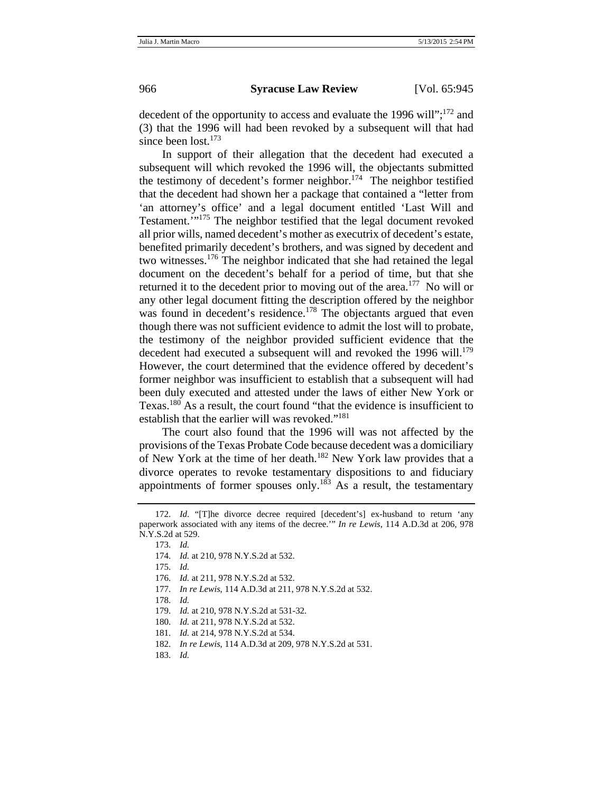decedent of the opportunity to access and evaluate the 1996 will";  $^{172}$  and (3) that the 1996 will had been revoked by a subsequent will that had since been lost. $173$ 

In support of their allegation that the decedent had executed a subsequent will which revoked the 1996 will, the objectants submitted the testimony of decedent's former neighbor.<sup>174</sup> The neighbor testified that the decedent had shown her a package that contained a "letter from 'an attorney's office' and a legal document entitled 'Last Will and Testament.'"175 The neighbor testified that the legal document revoked all prior wills, named decedent's mother as executrix of decedent's estate, benefited primarily decedent's brothers, and was signed by decedent and two witnesses.176 The neighbor indicated that she had retained the legal document on the decedent's behalf for a period of time, but that she returned it to the decedent prior to moving out of the area.<sup>177</sup> No will or any other legal document fitting the description offered by the neighbor was found in decedent's residence.<sup>178</sup> The objectants argued that even though there was not sufficient evidence to admit the lost will to probate, the testimony of the neighbor provided sufficient evidence that the decedent had executed a subsequent will and revoked the 1996 will.<sup>179</sup> However, the court determined that the evidence offered by decedent's former neighbor was insufficient to establish that a subsequent will had been duly executed and attested under the laws of either New York or Texas.<sup>180</sup> As a result, the court found "that the evidence is insufficient to establish that the earlier will was revoked."<sup>181</sup>

The court also found that the 1996 will was not affected by the provisions of the Texas Probate Code because decedent was a domiciliary of New York at the time of her death.<sup>182</sup> New York law provides that a divorce operates to revoke testamentary dispositions to and fiduciary appointments of former spouses only.<sup>183</sup> As a result, the testamentary

- 178. *Id.*
- 179. *Id.* at 210, 978 N.Y.S.2d at 531-32.
- 180. *Id.* at 211, 978 N.Y.S.2d at 532.
- 181. *Id.* at 214, 978 N.Y.S.2d at 534.
- 182. *In re Lewis*, 114 A.D.3d at 209, 978 N.Y.S.2d at 531.
- 183. *Id.*

<sup>172.</sup> *Id*. "[T]he divorce decree required [decedent's] ex-husband to return 'any paperwork associated with any items of the decree.'" *In re Lewis*, 114 A.D.3d at 206, 978 N.Y.S.2d at 529.

<sup>173.</sup> *Id.*

<sup>174.</sup> *Id.* at 210, 978 N.Y.S.2d at 532.

<sup>175.</sup> *Id.*

<sup>176.</sup> *Id.* at 211, 978 N.Y.S.2d at 532.

<sup>177.</sup> *In re Lewis*, 114 A.D.3d at 211, 978 N.Y.S.2d at 532.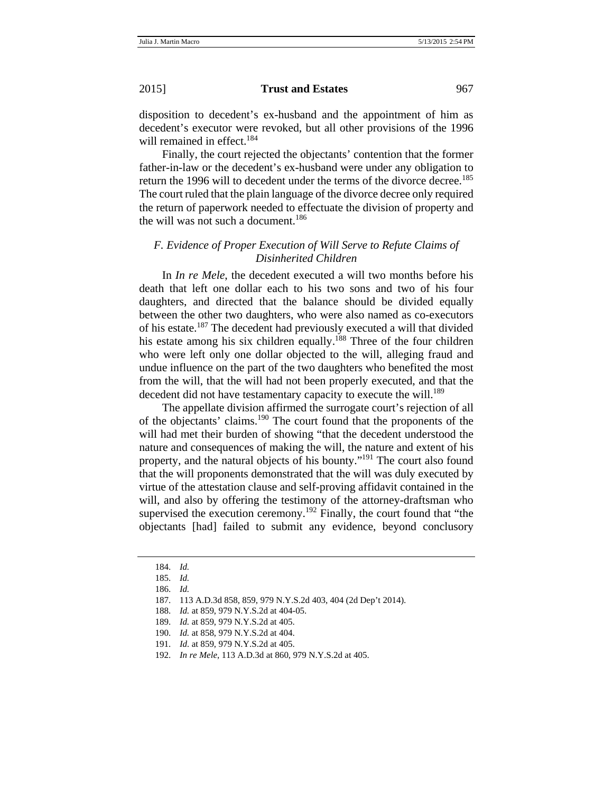disposition to decedent's ex-husband and the appointment of him as decedent's executor were revoked, but all other provisions of the 1996 will remained in effect.<sup>184</sup>

Finally, the court rejected the objectants' contention that the former father-in-law or the decedent's ex-husband were under any obligation to return the 1996 will to decedent under the terms of the divorce decree.<sup>185</sup> The court ruled that the plain language of the divorce decree only required the return of paperwork needed to effectuate the division of property and the will was not such a document.<sup>186</sup>

## *F. Evidence of Proper Execution of Will Serve to Refute Claims of Disinherited Children*

In *In re Mele*, the decedent executed a will two months before his death that left one dollar each to his two sons and two of his four daughters, and directed that the balance should be divided equally between the other two daughters, who were also named as co-executors of his estate.187 The decedent had previously executed a will that divided his estate among his six children equally.<sup>188</sup> Three of the four children who were left only one dollar objected to the will, alleging fraud and undue influence on the part of the two daughters who benefited the most from the will, that the will had not been properly executed, and that the decedent did not have testamentary capacity to execute the will.<sup>189</sup>

The appellate division affirmed the surrogate court's rejection of all of the objectants' claims.190 The court found that the proponents of the will had met their burden of showing "that the decedent understood the nature and consequences of making the will, the nature and extent of his property, and the natural objects of his bounty."<sup>191</sup> The court also found that the will proponents demonstrated that the will was duly executed by virtue of the attestation clause and self-proving affidavit contained in the will, and also by offering the testimony of the attorney-draftsman who supervised the execution ceremony.<sup>192</sup> Finally, the court found that "the objectants [had] failed to submit any evidence, beyond conclusory

<sup>184.</sup> *Id.*

<sup>185.</sup> *Id.*

<sup>186.</sup> *Id.*

<sup>187. 113</sup> A.D.3d 858, 859, 979 N.Y.S.2d 403, 404 (2d Dep't 2014).

<sup>188.</sup> *Id.* at 859, 979 N.Y.S.2d at 404-05.

<sup>189.</sup> *Id.* at 859, 979 N.Y.S.2d at 405.

<sup>190.</sup> *Id.* at 858, 979 N.Y.S.2d at 404.

<sup>191.</sup> *Id.* at 859, 979 N.Y.S.2d at 405.

<sup>192.</sup> *In re Mele*, 113 A.D.3d at 860, 979 N.Y.S.2d at 405.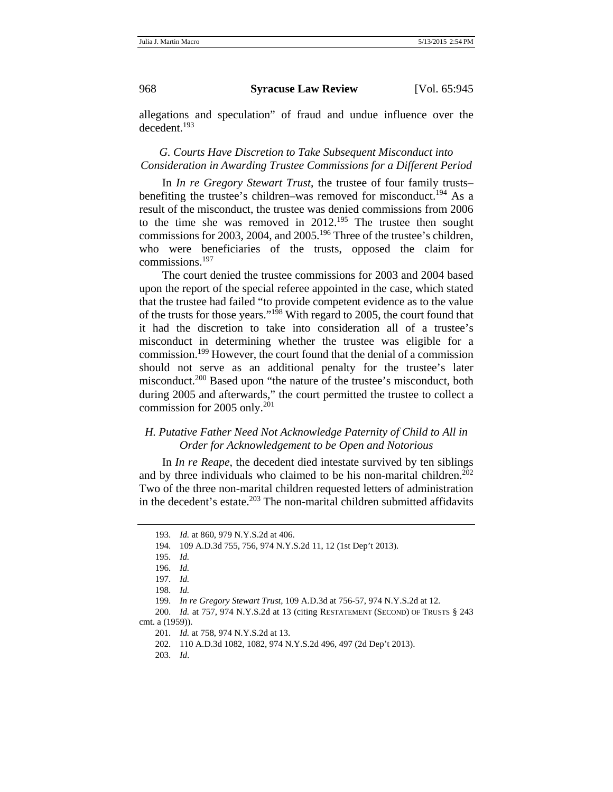allegations and speculation" of fraud and undue influence over the decedent.<sup>193</sup>

## *G. Courts Have Discretion to Take Subsequent Misconduct into Consideration in Awarding Trustee Commissions for a Different Period*

In *In re Gregory Stewart Trust*, the trustee of four family trusts– benefiting the trustee's children–was removed for misconduct.<sup>194</sup> As a result of the misconduct, the trustee was denied commissions from 2006 to the time she was removed in  $2012^{195}$  The trustee then sought commissions for 2003, 2004, and 2005.<sup>196</sup> Three of the trustee's children, who were beneficiaries of the trusts, opposed the claim for commissions.<sup>197</sup>

The court denied the trustee commissions for 2003 and 2004 based upon the report of the special referee appointed in the case, which stated that the trustee had failed "to provide competent evidence as to the value of the trusts for those years."198 With regard to 2005, the court found that it had the discretion to take into consideration all of a trustee's misconduct in determining whether the trustee was eligible for a commission.199 However, the court found that the denial of a commission should not serve as an additional penalty for the trustee's later misconduct.<sup>200</sup> Based upon "the nature of the trustee's misconduct, both during 2005 and afterwards," the court permitted the trustee to collect a commission for 2005 only. $^{201}$ 

# *H. Putative Father Need Not Acknowledge Paternity of Child to All in Order for Acknowledgement to be Open and Notorious*

In *In re Reape*, the decedent died intestate survived by ten siblings and by three individuals who claimed to be his non-marital children.<sup>202</sup> Two of the three non-marital children requested letters of administration in the decedent's estate. $^{203}$  The non-marital children submitted affidavits

<sup>193.</sup> *Id.* at 860, 979 N.Y.S.2d at 406.

<sup>194. 109</sup> A.D.3d 755, 756, 974 N.Y.S.2d 11, 12 (1st Dep't 2013).

<sup>195.</sup> *Id.*

<sup>196.</sup> *Id.*

<sup>197.</sup> *Id.*

<sup>198.</sup> *Id.*

<sup>199.</sup> *In re Gregory Stewart Trust*, 109 A.D.3d at 756-57, 974 N.Y.S.2d at 12.

<sup>200.</sup> *Id.* at 757, 974 N.Y.S.2d at 13 (citing RESTATEMENT (SECOND) OF TRUSTS § 243 cmt. a (1959)).

<sup>201.</sup> *Id.* at 758, 974 N.Y.S.2d at 13.

<sup>202. 110</sup> A.D.3d 1082, 1082, 974 N.Y.S.2d 496, 497 (2d Dep't 2013).

<sup>203.</sup> *Id*.